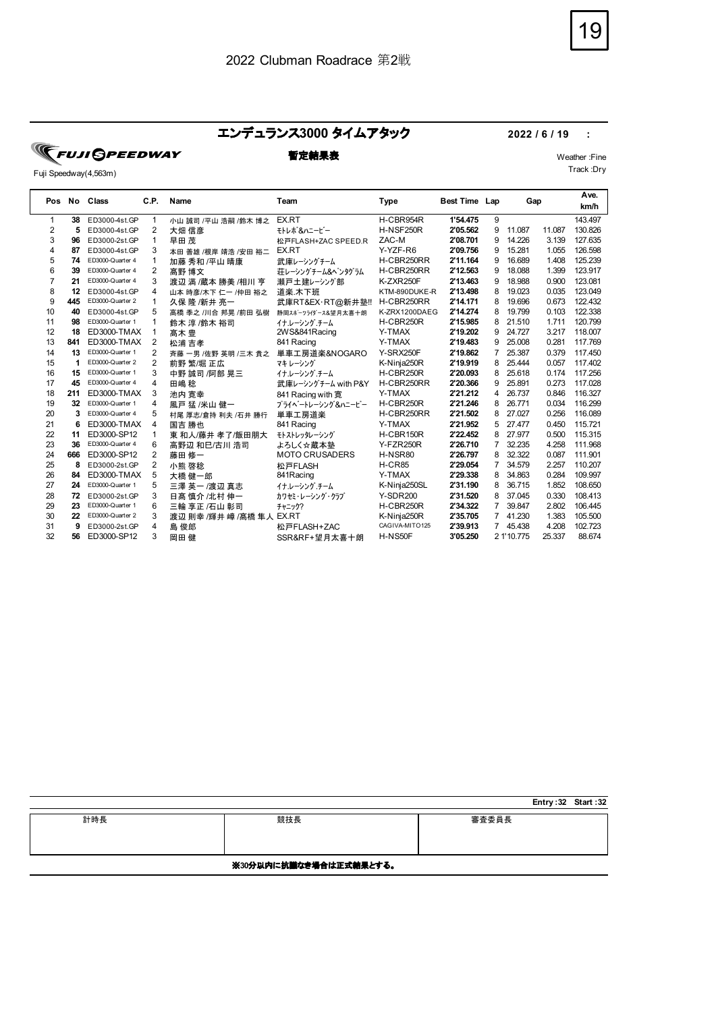#### エンデュランス**3000** タイムアタック **2022 / 6 / 19 :**

**TEUJI GPEEDWAY** 

Fuji Speedway(4,563m)

## **暫定結果表** Weather :Fine

Track :Dry

|    |     | Pos No Class     | C.P.           | Name                     | Team                  | <b>Type</b>     | Best Time Lap |                | Gap        |        | Ave.<br>km/h |  |
|----|-----|------------------|----------------|--------------------------|-----------------------|-----------------|---------------|----------------|------------|--------|--------------|--|
|    | 38  | ED3000-4st.GP    | 1              | 小山 誠司 /平山 浩嗣 /鈴木 博之      | EX.RT                 | H-CBR954R       | 1'54.475      | 9              |            |        | 143.497      |  |
| 2  | 5   | ED3000-4st.GP    | 2              | 大畑 信彦                    | モトレポ &ハニービー           | H-NSF250R       | 2'05.562      | 9              | 11.087     | 11.087 | 130.826      |  |
| 3  | 96  | ED3000-2st.GP    | 1              | 早田茂                      | 松戸FLASH+ZAC SPEED.R   | ZAC-M           | 2'08.701      | 9              | 14.226     | 3.139  | 127.635      |  |
| 4  | 87  | ED3000-4st.GP    | 3              | 本田 善雄 /根岸 靖浩 /安田 裕二      | EX.RT                 | Y-YZF-R6        | 2'09.756      | 9              | 15.281     | 1.055  | 126.598      |  |
| 5  | 74  | ED3000-Quarter 4 | 1              | 加藤 秀和 /平山 晴康             | 武庫レーシングチーム            | H-CBR250RR      | 2'11.164      | 9              | 16.689     | 1.408  | 125.239      |  |
| 6  | 39  | ED3000-Quarter 4 | 2              | 髙野 博文                    | 荘レーシングチーム&ペンタグラム      | H-CBR250RR      | 2'12.563      | 9              | 18.088     | 1.399  | 123.917      |  |
|    | 21  | ED3000-Quarter 4 | 3              | 渡辺 満 /蔵本 勝美 /相川 亨        | 瀬戸土建レーシング部            | K-ZXR250F       | 2'13.463      | 9              | 18.988     | 0.900  | 123.081      |  |
| 8  | 12  | ED3000-4st.GP    | 4              | 山本 時彦/木下 仁一 /仲田 裕之       | 道楽 木下班                | KTM-890DUKE-R   | 2'13.498      | 8              | 19.023     | 0.035  | 123.049      |  |
| 9  | 445 | ED3000-Quarter 2 | $\mathbf{1}$   | 久保 隆 /新井 亮一              | 武庫RT&EX·RT@新井塾!!      | H-CBR250RR      | 2'14.171      | 8              | 19.696     | 0.673  | 122.432      |  |
| 10 | 40  | ED3000-4st.GP    | 5              | 高橋 季之 /川合 邦晃 /前田 弘樹      | 静岡スポーツライダース&望月太喜十朗    | K-ZRX1200DAEG   | 2'14.274      | 8              | 19.799     | 0.103  | 122.338      |  |
| 11 | 98  | ED3000-Quarter 1 | 1              | 鈴木 淳 /鈴木 裕司              | イナ・レーシング チーム          | H-CBR250R       | 2'15.985      | 8              | 21.510     | 1.711  | 120.799      |  |
| 12 | 18  | ED3000-TMAX      | 1              | 髙木 豊                     | 2WS&841Racing         | Y-TMAX          | 2'19.202      | 9              | 24.727     | 3.217  | 118,007      |  |
| 13 | 841 | ED3000-TMAX      | 2              | 松浦 吉孝                    | 841 Racing            | Y-TMAX          | 2'19.483      | 9              | 25.008     | 0.281  | 117.769      |  |
| 14 | 13  | ED3000-Quarter 1 | $\overline{2}$ | 斉藤 一男 /佐野 英明 /三木 貴之      | 単車工房道楽&NOGARO         | Y-SRX250F       | 2'19.862      | 7              | 25.387     | 0.379  | 117.450      |  |
| 15 | 1   | ED3000-Quarter 2 | 2              | 前野 繁/堀 正広                | マキレーシング               | K-Ninja250R     | 2'19.919      | 8              | 25.444     | 0.057  | 117.402      |  |
| 16 | 15  | ED3000-Quarter 1 | 3              | 中野 誠司 /阿部 晃三             | イナルーシング チーム           | H-CBR250R       | 2'20.093      | 8              | 25.618     | 0.174  | 117.256      |  |
| 17 | 45  | ED3000-Quarter 4 | 4              | 田嶋 稔                     | 武庫レーシングチーム with P&Y   | H-CBR250RR      | 2'20.366      | 9              | 25.891     | 0.273  | 117.028      |  |
| 18 | 211 | ED3000-TMAX      | 3              | 池内 寛幸                    | 841 Racing with 寛     | Y-TMAX          | 2'21.212      | 4              | 26.737     | 0.846  | 116.327      |  |
| 19 | 32  | ED3000-Quarter 1 | 4              | 風戸 猛 /米山 健一              | プライベートレーシング&ハニービー     | H-CBR250R       | 2'21.246      | 8              | 26.771     | 0.034  | 116.299      |  |
| 20 | 3   | ED3000-Quarter 4 | 5              | 村尾 厚志/倉持 利夫 /石井 勝行       | 単車工房道楽                | H-CBR250RR      | 2'21.502      | 8              | 27.027     | 0.256  | 116,089      |  |
| 21 | 6   | ED3000-TMAX      | $\overline{4}$ | 国吉 勝也                    | 841 Racing            | Y-TMAX          | 2'21.952      | 5              | 27.477     | 0.450  | 115.721      |  |
| 22 | 11  | ED3000-SP12      | $\mathbf{1}$   | 東 和人/藤井 孝了/飯田朋大          | モトストレッタレーシング          | H-CBR150R       | 2'22.452      | 8              | 27.977     | 0.500  | 115.315      |  |
| 23 | 36  | ED3000-Quarter 4 | 6              | 高野辺 和巳/古川 浩司             | よろしく☆蔵本塾              | Y-FZR250R       | 2'26.710      | $\overline{7}$ | 32.235     | 4.258  | 111.968      |  |
| 24 | 666 | ED3000-SP12      | 2              | 藤田 修一                    | <b>MOTO CRUSADERS</b> | H-NSR80         | 2'26.797      | 8              | 32.322     | 0.087  | 111.901      |  |
| 25 | 8   | ED3000-2st.GP    | 2              | 小熊 啓稔                    | 松戸FLASH               | <b>H-CR85</b>   | 2'29.054      | $\overline{7}$ | 34.579     | 2.257  | 110.207      |  |
| 26 | 84  | ED3000-TMAX      | 5              | 大橋 健一郎                   | 841 Racing            | Y-TMAX          | 2'29.338      | 8              | 34.863     | 0.284  | 109.997      |  |
| 27 | 24  | ED3000-Quarter 1 | 5              | 三澤 英一 /渡辺 真志             | イナルーシング チーム           | K-Ninja250SL    | 2'31.190      | 8              | 36.715     | 1.852  | 108.650      |  |
| 28 | 72  | ED3000-2st.GP    | 3              | 日髙 慎介 /北村 伸一             | カワセミ・レーシング・クラブ        | <b>Y-SDR200</b> | 2'31.520      | 8              | 37.045     | 0.330  | 108.413      |  |
| 29 | 23  | ED3000-Quarter 1 | 6              | 三輪 享正 /石山 彰司             | チャニック?                | H-CBR250R       | 2'34.322      | $\overline{7}$ | 39.847     | 2.802  | 106.445      |  |
| 30 | 22  | ED3000-Quarter 2 | 3              | 渡辺 則幸 /輝井 嶂 /髙橋 隼人 EX.RT |                       | K-Ninja250R     | 2'35.705      | $7^{\circ}$    | 41.230     | 1.383  | 105.500      |  |
| 31 | 9   | ED3000-2st.GP    | 4              | 島 俊郎                     | 松戸FLASH+ZAC           | CAGIVA-MITO125  | 2'39.913      | $7^{\circ}$    | 45.438     | 4.208  | 102.723      |  |
| 32 | 56  | ED3000-SP12      | 3              | 岡田 健                     | SSR&RF+望月太喜十朗         | H-NS50F         | 3'05.250      |                | 2 1'10.775 | 25.337 | 88.674       |  |

|                        |     |       | Entry:32 Start:32 |  |  |  |
|------------------------|-----|-------|-------------------|--|--|--|
| 計時長                    | 競技長 | 審査委員長 |                   |  |  |  |
| ※30分以内に抗議なき場合は正式結果とする。 |     |       |                   |  |  |  |